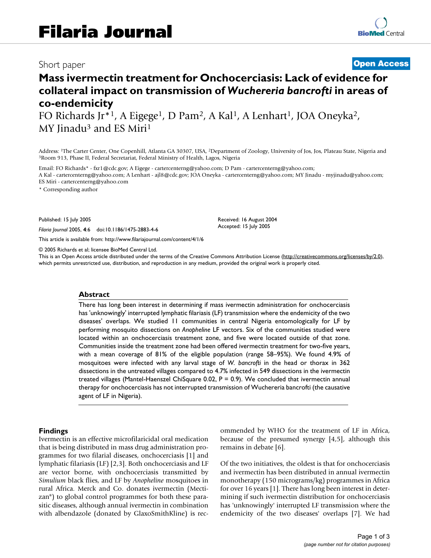# Short paper **[Open Access](http://www.biomedcentral.com/info/about/charter/)**

# **Mass ivermectin treatment for Onchocerciasis: Lack of evidence for collateral impact on transmission of** *Wuchereria bancrofti* **in areas of co-endemicity**

FO Richards Jr<sup>\*1</sup>, A Eigege<sup>1</sup>, D Pam<sup>2</sup>, A Kal<sup>1</sup>, A Lenhart<sup>1</sup>, JOA Oneyka<sup>2</sup>, MY Jinadu<sup>3</sup> and ES Miri<sup>1</sup>

Address: <sup>1</sup>The Carter Center, One Copenhill, Atlanta GA 30307, USA, <sup>2</sup>Department of Zoology, University of Jos, Jos, Plateau State, Nigeria and <sup>3</sup>Room 913, Phase II, Federal Secretariat, Federal Ministry of Health, Lago

Email: FO Richards\* - fxr1@cdc.gov; A Eigege - cartercenterng@yahoo.com; D Pam - cartercenterng@yahoo.com; A Kal - cartercenterng@yahoo.com; A Lenhart - ajl8@cdc.gov; JOA Oneyka - cartercenterng@yahoo.com; MY Jinadu - myjinadu@yahoo.com; ES Miri - cartercenterng@yahoo.com

\* Corresponding author

Published: 15 July 2005

*Filaria Journal* 2005, **4**:6 doi:10.1186/1475-2883-4-6

[This article is available from: http://www.filariajournal.com/content/4/1/6](http://www.filariajournal.com/content/4/1/6)

© 2005 Richards et al; licensee BioMed Central Ltd.

This is an Open Access article distributed under the terms of the Creative Commons Attribution License [\(http://creativecommons.org/licenses/by/2.0\)](http://creativecommons.org/licenses/by/2.0), which permits unrestricted use, distribution, and reproduction in any medium, provided the original work is properly cited.

Received: 16 August 2004 Accepted: 15 July 2005

#### **Abstract**

There has long been interest in determining if mass ivermectin administration for onchocerciasis has 'unknowingly' interrupted lymphatic filariasis (LF) transmission where the endemicity of the two diseases' overlaps. We studied 11 communities in central Nigeria entomologically for LF by performing mosquito dissections on *Anopheline* LF vectors. Six of the communities studied were located within an onchocerciasis treatment zone, and five were located outside of that zone. Communities inside the treatment zone had been offered ivermectin treatment for two-five years, with a mean coverage of 81% of the eligible population (range 58–95%). We found 4.9% of mosquitoes were infected with any larval stage of *W. bancrofti* in the head or thorax in 362 dissections in the untreated villages compared to 4.7% infected in 549 dissections in the ivermectin treated villages (Mantel-Haenszel ChiSquare 0.02,  $P = 0.9$ ). We concluded that ivermectin annual therapy for onchocerciasis has not interrupted transmission of Wuchereria bancrofti (the causative agent of LF in Nigeria).

#### **Findings**

Ivermectin is an effective microfilaricidal oral medication that is being distributed in mass drug administration programmes for two filarial diseases, onchocerciasis [1] and lymphatic filariasis (LF) [2,3]. Both onchocerciasis and LF are vector borne, with onchocerciasis transmitted by *Simulium* black flies, and LF by *Anopheline* mosquitoes in rural Africa. Merck and Co. donates ivermectin (Mectizan®) to global control programmes for both these parasitic diseases, although annual ivermectin in combination with albendazole (donated by GlaxoSmithKline) is recommended by WHO for the treatment of LF in Africa, because of the presumed synergy [4,5], although this remains in debate [6].

Of the two initiatives, the oldest is that for onchocerciasis and ivermectin has been distributed in annual ivermectin monotherapy (150 micrograms/kg) programmes in Africa for over 16 years [1]. There has long been interest in determining if such ivermectin distribution for onchocerciasis has 'unknowingly' interrupted LF transmission where the endemicity of the two diseases' overlaps [7]. We had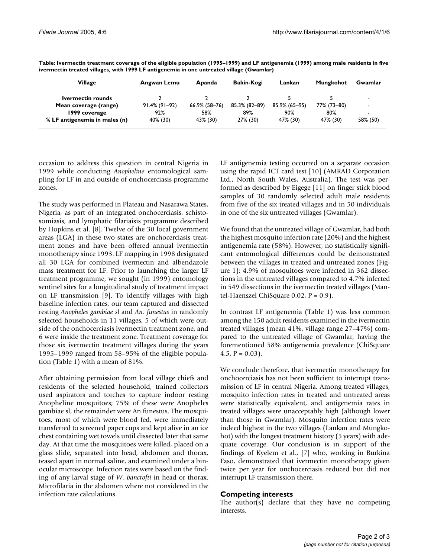| Village                       | <b>Angwan Lemu</b> | Apanda        | Bakin-Kogi    | Lankan        | Mungkohot   | Gwamlar                  |
|-------------------------------|--------------------|---------------|---------------|---------------|-------------|--------------------------|
| Ivermectin rounds             |                    |               |               |               |             | $\overline{\phantom{a}}$ |
| Mean coverage (range)         | $91.4\%$ (91-92)   | 66.9% (58-76) | 85.3% (82-89) | 85.9% (65-95) | 77% (73–80) | $\overline{\phantom{a}}$ |
| 1999 coverage                 | 92%                | 58%           | 89%           | 90%           | 80%         | $\overline{\phantom{a}}$ |
| % LF antigenemia in males (n) | 40% (30)           | 43% (30)      | 27% (30)      | 47% (30)      | 47% (30)    | 58% (50)                 |

**Table: Ivermectin treatment coverage of the eligible population (1995–1999) and LF antigenemia (1999) among male residents in five ivermectin treated villages, with 1999 LF antigenemia in one untreated village (Gwamlar)**

occasion to address this question in central Nigeria in 1999 while conducting *Anopheline* entomological sampling for LF in and outside of onchocerciasis programme zones.

The study was performed in Plateau and Nasarawa States, Nigeria, as part of an integrated onchocerciasis, schistosomiasis, and lymphatic filariaisis programme described by Hopkins et al. [8]. Twelve of the 30 local government areas (LGA) in these two states are onchocerciasis treatment zones and have been offered annual ivermectin monotherapy since 1993. LF mapping in 1998 designated all 30 LGA for combined ivermectin and albendazole mass treatment for LF. Prior to launching the larger LF treatment programme, we sought (in 1999) entomology sentinel sites for a longitudinal study of treatment impact on LF transmission [9]. To identify villages with high baseline infection rates, our team captured and dissected resting *Anopheles gambiae sl* and *An. funestus* in randomly selected households in 11 villages, 5 of which were outside of the onchocerciasis ivermectin treatment zone, and 6 were inside the treatment zone. Treatment coverage for those six ivermectin treatment villages during the years 1995–1999 ranged from 58–95% of the eligible population (Table 1) with a mean of 81%.

After obtaining permission from local village chiefs and residents of the selected household, trained collectors used aspirators and torches to capture indoor resting Anopheline mosquitoes; 75% of these were Anopheles gambiae sl, the remainder were An.funestus. The mosquitoes, most of which were blood fed, were immediately transferred to screened paper cups and kept alive in an ice chest containing wet towels until dissected later that same day. At that time the mosquitoes were killed, placed on a glass slide, separated into head, abdomen and thorax, teased apart in normal saline, and examined under a binocular microscope. Infection rates were based on the finding of any larval stage of *W. bancrofti* in head or thorax. Microfilaria in the abdomen where not considered in the infection rate calculations.

LF antigenemia testing occurred on a separate occasion using the rapid ICT card test [10] (AMRAD Corporation Ltd., North South Wales, Australia). The test was performed as described by Eigege [11] on finger stick blood samples of 30 randomly selected adult male residents from five of the six treated villages and in 50 individuals in one of the six untreated villages (Gwamlar).

We found that the untreated village of Gwamlar, had both the highest mosquito infection rate (20%) and the highest antigenemia rate (58%). However, no statistically significant entomological differences could be demonstrated between the villages in treated and untreated zones (Figure 1): 4.9% of mosquitoes were infected in 362 dissections in the untreated villages compared to 4.7% infected in 549 dissections in the ivermectin treated villages (Mantel-Haenszel ChiSquare 0.02,  $P = 0.9$ ).

In contrast LF antigenemia (Table 1) was less common among the 150 adult residents examined in the ivermectin treated villages (mean 41%, village range 27–47%) compared to the untreated village of Gwamlar, having the forementioned 58% antigenemia prevalence (ChiSquare 4.5,  $P = 0.03$ .

We conclude therefore, that ivermectin monotherapy for onchocerciasis has not been sufficient to interrupt transmission of LF in central Nigeria. Among treated villages, mosquito infection rates in treated and untreated areas were statistically equivalent, and antigenemia rates in treated villages were unacceptably high (although lower than those in Gwamlar). Mosquito infection rates were indeed highest in the two villages (Lankan and Mungkohot) with the longest treatment history (5 years) with adequate coverage. Our conclusion is in support of the findings of Kyelem et al., [7] who, working in Burkina Faso, demonstrated that ivermectin monotherapy given twice per year for onchocerciasis reduced but did not interrupt LF transmission there.

## **Competing interests**

The author(s) declare that they have no competing interests.